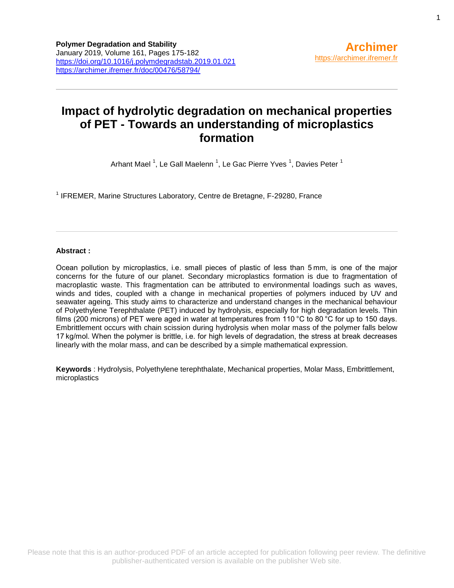# **Impact of hydrolytic degradation on mechanical properties of PET - Towards an understanding of microplastics formation**

Arhant Mael <sup>1</sup>, Le Gall Maelenn <sup>1</sup>, Le Gac Pierre Yves <sup>1</sup>, Davies Peter <sup>1</sup>

<sup>1</sup> IFREMER, Marine Structures Laboratory, Centre de Bretagne, F-29280, France

# **Abstract :**

Ocean pollution by microplastics, i.e. small pieces of plastic of less than 5 mm, is one of the major concerns for the future of our planet. Secondary microplastics formation is due to fragmentation of macroplastic waste. This fragmentation can be attributed to environmental loadings such as waves, winds and tides, coupled with a change in mechanical properties of polymers induced by UV and seawater ageing. This study aims to characterize and understand changes in the mechanical behaviour of Polyethylene Terephthalate (PET) induced by hydrolysis, especially for high degradation levels. Thin films (200 microns) of PET were aged in water at temperatures from 110 °C to 80 °C for up to 150 days. Embrittlement occurs with chain scission during hydrolysis when molar mass of the polymer falls below 17 kg/mol. When the polymer is brittle, i.e. for high levels of degradation, the stress at break decreases linearly with the molar mass, and can be described by a simple mathematical expression.

**Keywords** : Hydrolysis, Polyethylene terephthalate, Mechanical properties, Molar Mass, Embrittlement, microplastics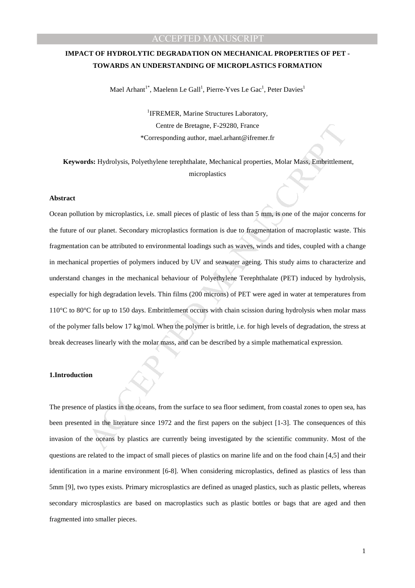#### **1.Introduction**

on<br>of plastics in the oceans, from the surface to sea floor sediment, from coastal zones to open seed in the literature since 1972 and the first papers on the subject [1-3]. The consequences when oceans by plastics are cur The presence of plastics in the oceans, from the surface to sea floor sediment, from coastal zones to open sea, has been presented in the literature since 1972 and the first papers on the subject [1-3]. The consequences of this invasion of the oceans by plastics are currently being investigated by the scientific community. Most of the questions are related to the impact of small pieces of plastics on marine life and on the food chain [4,5] and their identification in a marine environment [6-8]. When considering microplastics, defined as plastics of less than 5mm [9], two types exists. Primary microsplastics are defined as unaged plastics, such as plastic pellets, whereas secondary microsplastics are based on macroplastics such as plastic bottles or bags that are aged and then fragmented into smaller pieces.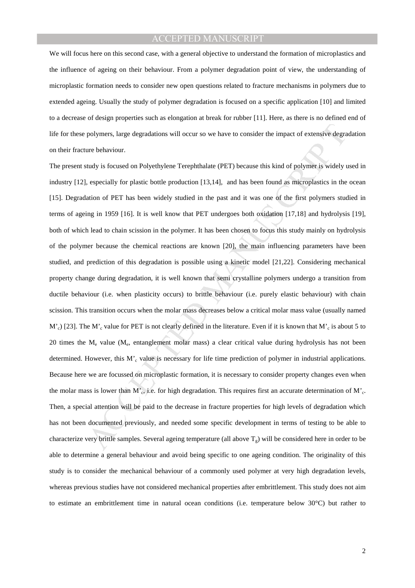We will focus here on this second case, with a general objective to understand the formation of microplastics and the influence of ageing on their behaviour. From a polymer degradation point of view, the understanding of microplastic formation needs to consider new open questions related to fracture mechanisms in polymers due to extended ageing. Usually the study of polymer degradation is focused on a specific application [10] and limited to a decrease of design properties such as elongation at break for rubber [11]. Here, as there is no defined end of life for these polymers, large degradations will occur so we have to consider the impact of extensive degradation on their fracture behaviour.

polymers, large degradations will occur so we have to consider the impact of extensive degrate and the steps are behaviour.<br>
turby is focused on Polyethylene Terephrhalate (PET) because this kind of polymer is widely to e The present study is focused on Polyethylene Terephthalate (PET) because this kind of polymer is widely used in industry [12], especially for plastic bottle production [13,14], and has been found as microplastics in the ocean [15]. Degradation of PET has been widely studied in the past and it was one of the first polymers studied in terms of ageing in 1959 [16]. It is well know that PET undergoes both oxidation [17,18] and hydrolysis [19], both of which lead to chain scission in the polymer. It has been chosen to focus this study mainly on hydrolysis of the polymer because the chemical reactions are known [20], the main influencing parameters have been studied, and prediction of this degradation is possible using a kinetic model [21,22]. Considering mechanical property change during degradation, it is well known that semi crystalline polymers undergo a transition from ductile behaviour (i.e. when plasticity occurs) to brittle behaviour (i.e. purely elastic behaviour) with chain scission. This transition occurs when the molar mass decreases below a critical molar mass value (usually named  $M'_{c}$ ) [23]. The M'<sub>c</sub> value for PET is not clearly defined in the literature. Even if it is known that M'<sub>c</sub> is about 5 to 20 times the M<sub>e</sub> value (M<sub>e</sub>, entanglement molar mass) a clear critical value during hydrolysis has not been determined. However, this M'<sub>c</sub> value is necessary for life time prediction of polymer in industrial applications. Because here we are focussed on microplastic formation, it is necessary to consider property changes even when the molar mass is lower than M'<sub>c</sub>, i.e. for high degradation. This requires first an accurate determination of M'<sub>c</sub>. Then, a special attention will be paid to the decrease in fracture properties for high levels of degradation which has not been documented previously, and needed some specific development in terms of testing to be able to characterize very brittle samples. Several ageing temperature (all above  $T_g$ ) will be considered here in order to be able to determine a general behaviour and avoid being specific to one ageing condition. The originality of this study is to consider the mechanical behaviour of a commonly used polymer at very high degradation levels, whereas previous studies have not considered mechanical properties after embrittlement. This study does not aim to estimate an embrittlement time in natural ocean conditions (i.e. temperature below 30°C) but rather to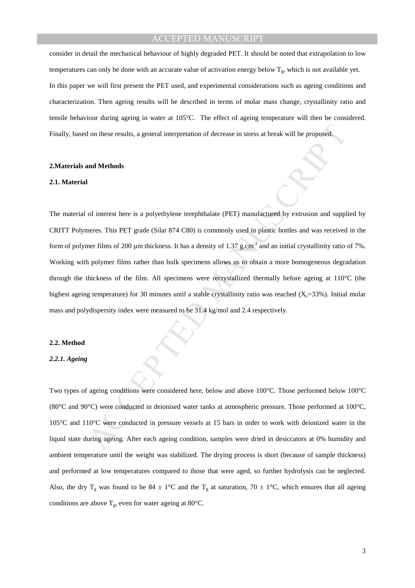consider in detail the mechanical behaviour of highly degraded PET. It should be noted that extrapolation to low temperatures can only be done with an accurate value of activation energy below  $T_g$ , which is not available yet. In this paper we will first present the PET used, and experimental considerations such as ageing conditions and characterization. Then ageing results will be described in terms of molar mass change, crystallinity ratio and tensile behaviour during ageing in water at 105°C. The effect of ageing temperature will then be considered. Finally, based on these results, a general interpretation of decrease in stress at break will be proposed.

### **2.Materials and Methods**

### **2.1. Material**

If on these results, a general interpretation of decrease in stress at hreak will be proposed.<br>
and Methods<br>
1<br>
and Methods<br>
1<br>
1<br>
of interest here is a polyethylene terephthalate (PET) manufactured by extrusion and supple The material of interest here is a polyethylene terephthalate (PET) manufactured by extrusion and supplied by CRITT Polymeres. This PET grade (Silar 874 C80) is commonly used in plastic bottles and was received in the form of polymer films of 200  $\mu$ m thickness. It has a density of 1.37 g.cm<sup>-3</sup> and an initial crystallinity ratio of 7%. Working with polymer films rather than bulk specimens allows us to obtain a more homogeneous degradation through the thickness of the film. All specimens were recrystallized thermally before ageing at 110°C (the highest ageing temperature) for 30 minutes until a stable crystallinity ratio was reached  $(X_c=33\%)$ . Initial molar mass and polydispersity index were measured to be 31.4 kg/mol and 2.4 respectively.

#### **2.2. Method**

#### *2.2.1. Ageing*

Two types of ageing conditions were considered here, below and above 100°C. Those performed below 100°C (80°C and 90°C) were conducted in deionised water tanks at atmospheric pressure. Those performed at 100°C, 105°C and 110°C were conducted in pressure vessels at 15 bars in order to work with deionized water in the liquid state during ageing. After each ageing condition, samples were dried in desiccators at 0% humidity and ambient temperature until the weight was stabilized. The drying process is short (because of sample thickness) and performed at low temperatures compared to those that were aged, so further hydrolysis can be neglected. Also, the dry  $T_g$  was found to be 84  $\pm$  1°C and the  $T_g$  at saturation, 70  $\pm$  1°C, which ensures that all ageing conditions are above  $T_g$ , even for water ageing at 80 $^{\circ}$ C.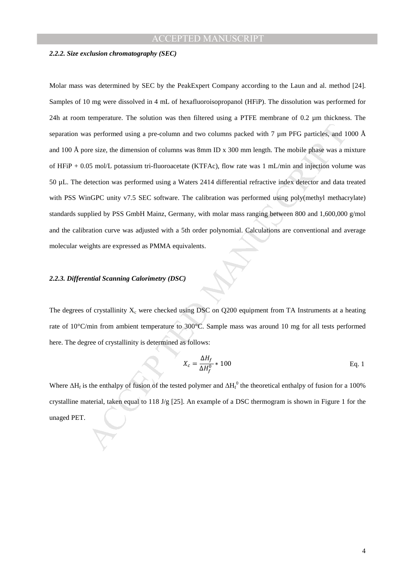# ACCEPTED MANU

#### *2.2.2. Size exclusion chromatography (SEC)*

as performed using a pre-column and two columns packed with 7 µm PFG particles, and 1<br>or size, the dimension of columns was 8mm ID x 300 mm length. The mobile phase was a most non/L potassium tri-fluoroacetate (KTFAc), fl Molar mass was determined by SEC by the PeakExpert Company according to the Laun and al. method [24]. Samples of 10 mg were dissolved in 4 mL of hexafluoroisopropanol (HFiP). The dissolution was performed for 24h at room temperature. The solution was then filtered using a PTFE membrane of 0.2 µm thickness. The separation was performed using a pre-column and two columns packed with 7 µm PFG particles, and 1000 Å and 100 Å pore size, the dimension of columns was 8mm ID x 300 mm length. The mobile phase was a mixture of HFiP + 0.05 mol/L potassium tri-fluoroacetate (KTFAc), flow rate was 1 mL/min and injection volume was 50 µL. The detection was performed using a Waters 2414 differential refractive index detector and data treated with PSS WinGPC unity v7.5 SEC software. The calibration was performed using poly(methyl methacrylate) standards supplied by PSS GmbH Mainz, Germany, with molar mass ranging between 800 and 1,600,000 g/mol and the calibration curve was adjusted with a 5th order polynomial. Calculations are conventional and average molecular weights are expressed as PMMA equivalents.

### *2.2.3. Differential Scanning Calorimetry (DSC)*

The degrees of crystallinity  $X_c$  were checked using DSC on Q200 equipment from TA Instruments at a heating rate of 10°C/min from ambient temperature to 300°C. Sample mass was around 10 mg for all tests performed here. The degree of crystallinity is determined as follows:

$$
X_c = \frac{\Delta H_f}{\Delta H_f^0} \times 100
$$
 Eq. 1

Where  $\Delta H_f$  is the enthalpy of fusion of the tested polymer and  $\Delta H_f^0$  the theoretical enthalpy of fusion for a 100% crystalline material, taken equal to 118 J/g [25]. An example of a DSC thermogram is shown in Figure 1 for the unaged PET.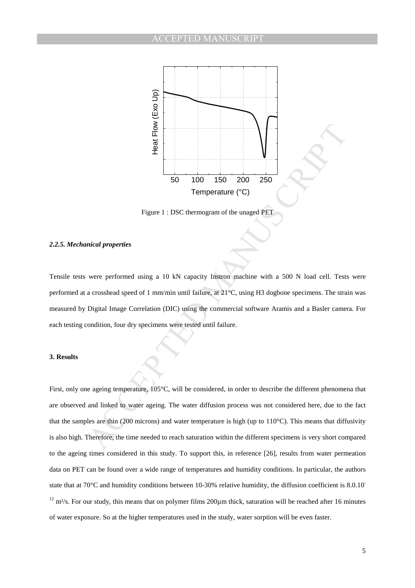

Figure 1 : DSC thermogram of the unaged PET

#### *2.2.5. Mechanical properties*

Tensile tests were performed using a 10 kN capacity Instron machine with a 500 N load cell. Tests were performed at a crosshead speed of 1 mm/min until failure, at 21°C, using H3 dogbone specimens. The strain was measured by Digital Image Correlation (DIC) using the commercial software Aramis and a Basler camera. For each testing condition, four dry specimens were tested until failure.

#### **3. Results**

 $\frac{2}{32}$ <br>
was the members of the unged PET<br>
Figure 1 : DSC thermogram of the unged PET<br>
Figure 1 : DSC thermogram of the unged PET<br>
mical properties<br>
were performed using a 10 kN capacity Instrom machine with a 500 N lo First, only one ageing temperature, 105°C, will be considered, in order to describe the different phenomena that are observed and linked to water ageing. The water diffusion process was not considered here, due to the fact that the samples are thin (200 microns) and water temperature is high (up to  $110^{\circ}$ C). This means that diffusivity is also high. Therefore, the time needed to reach saturation within the different specimens is very short compared to the ageing times considered in this study. To support this, in reference [26], results from water permeation data on PET can be found over a wide range of temperatures and humidity conditions. In particular, the authors state that at 70<sup>°</sup>C and humidity conditions between 10-30% relative humidity, the diffusion coefficient is 8.0.10<sup>-</sup>  $12$  m<sup>2</sup>/s. For our study, this means that on polymer films 200 $\mu$ m thick, saturation will be reached after 16 minutes of water exposure. So at the higher temperatures used in the study, water sorption will be even faster.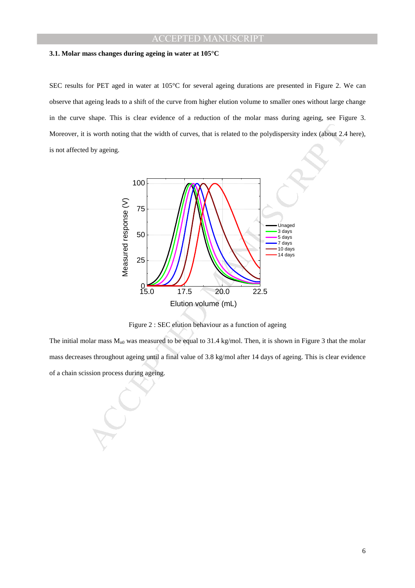#### **3.1. Molar mass changes during ageing in water at 105°C**

SEC results for PET aged in water at 105°C for several ageing durations are presented in Figure 2. We can observe that ageing leads to a shift of the curve from higher elution volume to smaller ones without large change in the curve shape. This is clear evidence of a reduction of the molar mass during ageing, see Figure 3. Moreover, it is worth noting that the width of curves, that is related to the polydispersity index (about 2.4 here), is not affected by ageing.



Figure 2 : SEC elution behaviour as a function of ageing

The initial molar mass  $M_{n0}$  was measured to be equal to 31.4 kg/mol. Then, it is shown in Figure 3 that the molar mass decreases throughout ageing until a final value of 3.8 kg/mol after 14 days of ageing. This is clear evidence of a chain scission process during ageing.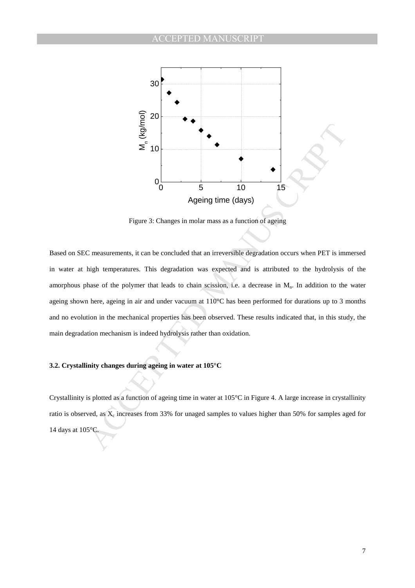

Figure 3: Changes in molar mass as a function of ageing

 $\frac{55}{20}$ <br>  $\frac{35}{20}$ <br>  $\frac{35}{20}$ <br>  $\frac{35}{20}$ <br>  $\frac{35}{20}$ <br>  $\frac{35}{20}$ <br>  $\frac{35}{20}$ <br>  $\frac{35}{20}$ <br>  $\frac{35}{20}$ <br>  $\frac{35}{20}$ <br>  $\frac{35}{20}$ <br>  $\frac{35}{20}$ <br>  $\frac{35}{20}$ <br>  $\frac{35}{20}$ <br>  $\frac{35}{20}$ <br>  $\frac{35}{20}$ <br>  $\frac{35}{20}$ <br> Based on SEC measurements, it can be concluded that an irreversible degradation occurs when PET is immersed in water at high temperatures. This degradation was expected and is attributed to the hydrolysis of the amorphous phase of the polymer that leads to chain scission, i.e. a decrease in  $M<sub>n</sub>$ . In addition to the water ageing shown here, ageing in air and under vacuum at 110°C has been performed for durations up to 3 months and no evolution in the mechanical properties has been observed. These results indicated that, in this study, the main degradation mechanism is indeed hydrolysis rather than oxidation.

### **3.2. Crystallinity changes during ageing in water at 105°C**

Crystallinity is plotted as a function of ageing time in water at  $105^{\circ}$ C in Figure 4. A large increase in crystallinity ratio is observed, as  $X_c$  increases from 33% for unaged samples to values higher than 50% for samples aged for 14 days at 105°C.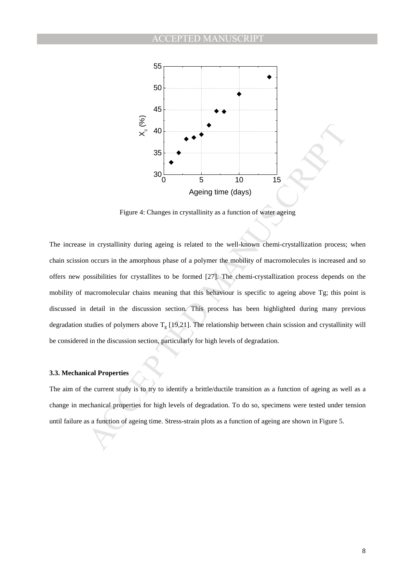

Figure 4: Changes in crystallinity as a function of water ageing

35<br>
Manuscript and the set of agents are the set of agents we mean of agents we mean of agents are the set of agents in erytal linity during agents is related to the well-known chemi-crystallization process:<br>
in crystalli The increase in crystallinity during ageing is related to the well-known chemi-crystallization process; when chain scission occurs in the amorphous phase of a polymer the mobility of macromolecules is increased and so offers new possibilities for crystallites to be formed [27]. The chemi-crystallization process depends on the mobility of macromolecular chains meaning that this behaviour is specific to ageing above Tg; this point is discussed in detail in the discussion section. This process has been highlighted during many previous degradation studies of polymers above  $T_g$  [19,21]. The relationship between chain scission and crystallinity will be considered in the discussion section, particularly for high levels of degradation.

### **3.3. Mechanical Properties**

The aim of the current study is to try to identify a brittle/ductile transition as a function of ageing as well as a change in mechanical properties for high levels of degradation. To do so, specimens were tested under tension until failure as a function of ageing time. Stress-strain plots as a function of ageing are shown in Figure 5.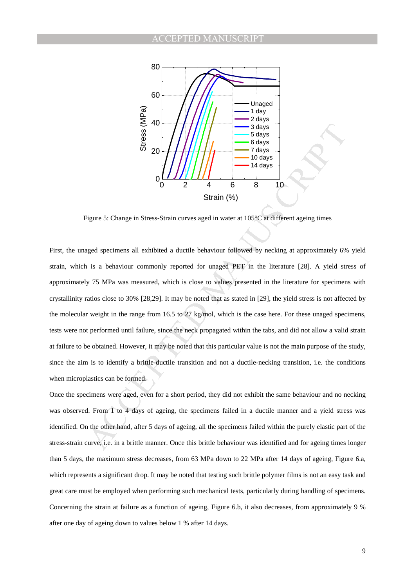

Figure 5: Change in Stress-Strain curves aged in water at 105°C at different ageing times

Example 1 and 1 and 1 and 1 and 1 and 1 and 1 and 1 and 1 and 1 and 1 and 1 and 1 and 1 and 1 and 1 and 1 and 1 and 1 and 1 and 1 and 1 and 1 and 1 and 1 and 1 and 1 and 1 and 1 and 1 and 1 and 1 and 1 and 1 and 1 and 1 a First, the unaged specimens all exhibited a ductile behaviour followed by necking at approximately 6% yield strain, which is a behaviour commonly reported for unaged PET in the literature [28]. A yield stress of approximately 75 MPa was measured, which is close to values presented in the literature for specimens with crystallinity ratios close to 30% [28,29]. It may be noted that as stated in [29], the yield stress is not affected by the molecular weight in the range from 16.5 to 27 kg/mol, which is the case here. For these unaged specimens, tests were not performed until failure, since the neck propagated within the tabs, and did not allow a valid strain at failure to be obtained. However, it may be noted that this particular value is not the main purpose of the study, since the aim is to identify a brittle-ductile transition and not a ductile-necking transition, i.e. the conditions when microplastics can be formed.

Once the specimens were aged, even for a short period, they did not exhibit the same behaviour and no necking was observed. From 1 to 4 days of ageing, the specimens failed in a ductile manner and a yield stress was identified. On the other hand, after 5 days of ageing, all the specimens failed within the purely elastic part of the stress-strain curve, i.e. in a brittle manner. Once this brittle behaviour was identified and for ageing times longer than 5 days, the maximum stress decreases, from 63 MPa down to 22 MPa after 14 days of ageing, Figure 6.a, which represents a significant drop. It may be noted that testing such brittle polymer films is not an easy task and great care must be employed when performing such mechanical tests, particularly during handling of specimens. Concerning the strain at failure as a function of ageing, Figure 6.b, it also decreases, from approximately 9 % after one day of ageing down to values below 1 % after 14 days.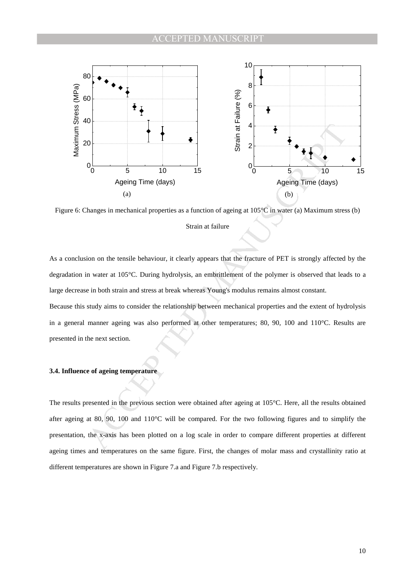

Figure 6: Changes in mechanical properties as a function of ageing at 105°C in water (a) Maximum stress (b) Strain at failure

As a conclusion on the tensile behaviour, it clearly appears that the fracture of PET is strongly affected by the degradation in water at 105°C. During hydrolysis, an embrittlement of the polymer is observed that leads to a large decrease in both strain and stress at break whereas Young's modulus remains almost constant.

Because this study aims to consider the relationship between mechanical properties and the extent of hydrolysis in a general manner ageing was also performed at other temperatures; 80, 90, 100 and 110°C. Results are presented in the next section.

# **3.4. Influence of ageing temperature**

The results presented in the previous section were obtained after ageing at 105°C. Here, all the results obtained after ageing at 80, 90, 100 and 110°C will be compared. For the two following figures and to simplify the presentation, the x-axis has been plotted on a log scale in order to compare different properties at different ageing times and temperatures on the same figure. First, the changes of molar mass and crystallinity ratio at different temperatures are shown in Figure 7.a and Figure 7.b respectively.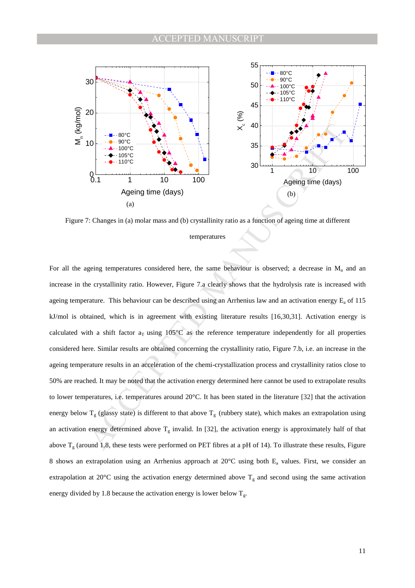

Figure 7: Changes in (a) molar mass and (b) crystallinity ratio as a function of ageing time at different

#### temperatures

THE ROCE AND THE ROW CONTROLL AND THE ROW CONTROLL AND THE ROW CONTROLL AND THE ROW CONTROLL AND THE ROW CONTROLL AND THE ROW ASSEMBLY THE ROW ASSEMBLY THE ROW ASSEMBLY THE ROW ASSEMBLY THE ROW CONTROLL AND THE ROW CONTRO For all the ageing temperatures considered here, the same behaviour is observed; a decrease in  $M_n$  and an increase in the crystallinity ratio. However, Figure 7.a clearly shows that the hydrolysis rate is increased with ageing temperature. This behaviour can be described using an Arrhenius law and an activation energy  $E_a$  of 115 kJ/mol is obtained, which is in agreement with existing literature results [16,30,31]. Activation energy is calculated with a shift factor  $a<sub>T</sub>$  using 105°C as the reference temperature independently for all properties considered here. Similar results are obtained concerning the crystallinity ratio, Figure 7.b, i.e. an increase in the ageing temperature results in an acceleration of the chemi-crystallization process and crystallinity ratios close to 50% are reached. It may be noted that the activation energy determined here cannot be used to extrapolate results to lower temperatures, i.e. temperatures around 20°C. It has been stated in the literature [32] that the activation energy below  $T_g$  (glassy state) is different to that above  $T_g$  (rubbery state), which makes an extrapolation using an activation energy determined above  $T_g$  invalid. In [32], the activation energy is approximately half of that above  $T_g$  (around 1.8, these tests were performed on PET fibres at a pH of 14). To illustrate these results, Figure 8 shows an extrapolation using an Arrhenius approach at  $20^{\circ}$ C using both E<sub>a</sub> values. First, we consider an extrapolation at 20°C using the activation energy determined above  $T_g$  and second using the same activation energy divided by 1.8 because the activation energy is lower below  $T_g$ .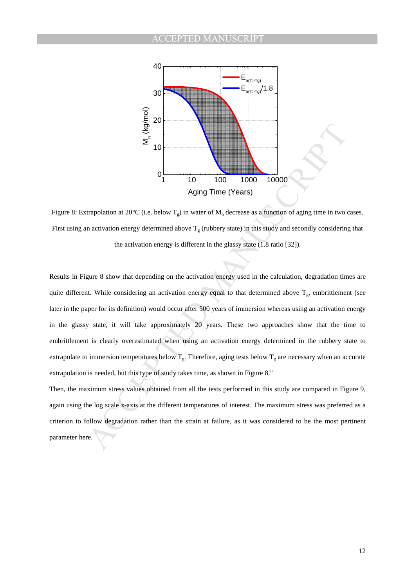

Figure 8: Extrapolation at 20°C (i.e. below  $T_g$ ) in water of  $M_n$  decrease as a function of aging time in two cases. First using an activation energy determined above  $T_g$  (rubbery state) in this study and secondly considering that the activation energy is different in the glassy state (1.8 ratio [32]).

 $\frac{3}{2}$ <br>  $\frac{3}{2}$ <br>  $\frac{3}{2}$ <br>  $\frac{3}{2}$ <br>  $\frac{1}{2}$ <br>  $\frac{1}{2}$ <br>  $\frac{1}{2}$ <br>  $\frac{1}{2}$ <br>  $\frac{1}{2}$ <br>  $\frac{1}{2}$ <br>  $\frac{1}{2}$ <br>  $\frac{1}{2}$ <br>  $\frac{1}{2}$ <br>  $\frac{1}{2}$ <br>  $\frac{1}{2}$ <br>  $\frac{1}{2}$ <br>  $\frac{1}{2}$ <br>  $\frac{1}{2}$ <br>  $\frac{1}{2}$ <br>
gure 8 show Results in Figure 8 show that depending on the activation energy used in the calculation, degradation times are quite different. While considering an activation energy equal to that determined above  $T_g$ , embrittlement (see later in the paper for its definition) would occur after 500 years of immersion whereas using an activation energy in the glassy state, it will take approximately 20 years. These two approaches show that the time to embrittlement is clearly overestimated when using an activation energy determined in the rubbery state to extrapolate to immersion temperatures below  $T_g$ . Therefore, aging tests below  $T_g$  are necessary when an accurate extrapolation is needed, but this type of study takes time, as shown in Figure 8."

Then, the maximum stress values obtained from all the tests performed in this study are compared in Figure 9, again using the log scale x-axis at the different temperatures of interest. The maximum stress was preferred as a criterion to follow degradation rather than the strain at failure, as it was considered to be the most pertinent parameter here.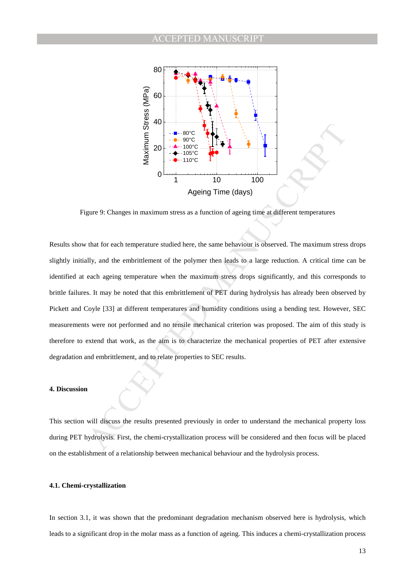

Figure 9: Changes in maximum stress as a function of ageing time at different temperatures

 $\frac{3}{2}$ <br>  $\frac{3}{2}$ <br>  $\frac{3}{2}$ <br>  $\frac{3}{2}$ <br>  $\frac{3}{2}$ <br>  $\frac{3}{2}$ <br>  $\frac{3}{2}$ <br>  $\frac{3}{2}$ <br>  $\frac{3}{2}$ <br>  $\frac{3}{2}$ <br>  $\frac{3}{2}$ <br>  $\frac{3}{2}$ <br>  $\frac{3}{2}$ <br>  $\frac{3}{2}$ <br>  $\frac{3}{2}$ <br>  $\frac{3}{2}$ <br>  $\frac{3}{2}$ <br>  $\frac{3}{2}$ <br>  $\frac{3}{2}$ <br>  $\frac{3}{2}$ <br> Results show that for each temperature studied here, the same behaviour is observed. The maximum stress drops slightly initially, and the embrittlement of the polymer then leads to a large reduction. A critical time can be identified at each ageing temperature when the maximum stress drops significantly, and this corresponds to brittle failures. It may be noted that this embrittlement of PET during hydrolysis has already been observed by Pickett and Coyle [33] at different temperatures and humidity conditions using a bending test. However, SEC measurements were not performed and no tensile mechanical criterion was proposed. The aim of this study is therefore to extend that work, as the aim is to characterize the mechanical properties of PET after extensive degradation and embrittlement, and to relate properties to SEC results.

#### **4. Discussion**

This section will discuss the results presented previously in order to understand the mechanical property loss during PET hydrolysis. First, the chemi-crystallization process will be considered and then focus will be placed on the establishment of a relationship between mechanical behaviour and the hydrolysis process.

### **4.1. Chemi-crystallization**

In section 3.1, it was shown that the predominant degradation mechanism observed here is hydrolysis, which leads to a significant drop in the molar mass as a function of ageing. This induces a chemi-crystallization process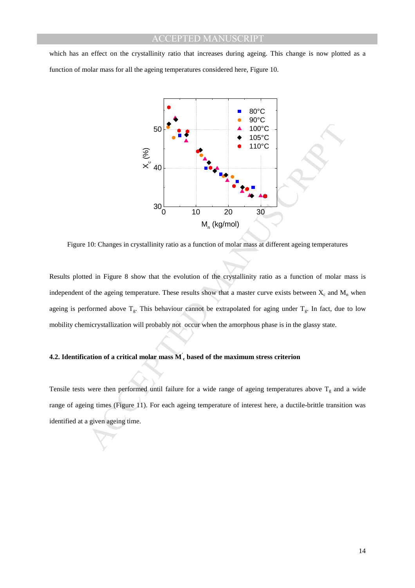which has an effect on the crystallinity ratio that increases during ageing. This change is now plotted as a function of molar mass for all the ageing temperatures considered here, Figure 10.



Figure 10: Changes in crystallinity ratio as a function of molar mass at different ageing temperatures

Results plotted in Figure 8 show that the evolution of the crystallinity ratio as a function of molar mass is independent of the ageing temperature. These results show that a master curve exists between  $X_c$  and  $M_n$  when ageing is performed above  $T_g$ . This behaviour cannot be extrapolated for aging under  $T_g$ . In fact, due to low mobility chemicrystallization will probably not occur when the amorphous phase is in the glassy state.

# **4.2. Identification of a critical molar mass M' c based of the maximum stress criterion**

Tensile tests were then performed until failure for a wide range of ageing temperatures above  $T_g$  and a wide range of ageing times (Figure 11). For each ageing temperature of interest here, a ductile-brittle transition was identified at a given ageing time.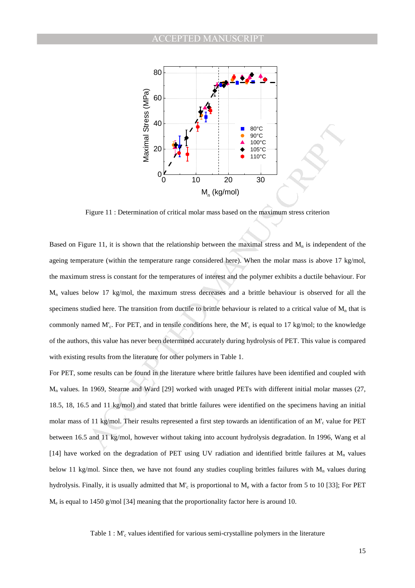

Figure 11 : Determination of critical molar mass based on the maximum stress criterion

Example 11: Determination of critical molar mass based on the maximum stress criterion<br>  $\frac{5}{22}$  20<br>  $\frac{1}{22}$  10<br>  $\frac{1}{22}$  11: Determination of critical molar mass based on the maximum stress criterion<br>
ure 11. it i Based on Figure 11, it is shown that the relationship between the maximal stress and  $M_n$  is independent of the ageing temperature (within the temperature range considered here). When the molar mass is above 17 kg/mol, the maximum stress is constant for the temperatures of interest and the polymer exhibits a ductile behaviour. For Mn values below 17 kg/mol, the maximum stress decreases and a brittle behaviour is observed for all the specimens studied here. The transition from ductile to brittle behaviour is related to a critical value of  $M<sub>n</sub>$  that is commonly named M'<sup>c</sup> . For PET, and in tensile conditions here, the M'<sup>c</sup> is equal to 17 kg/mol; to the knowledge of the authors, this value has never been determined accurately during hydrolysis of PET. This value is compared with existing results from the literature for other polymers in Table 1.

For PET, some results can be found in the literature where brittle failures have been identified and coupled with Mn values. In 1969, Stearne and Ward [29] worked with unaged PETs with different initial molar masses (27, 18.5, 18, 16.5 and 11 kg/mol) and stated that brittle failures were identified on the specimens having an initial molar mass of 11 kg/mol. Their results represented a first step towards an identification of an M'<sub>c</sub> value for PET between 16.5 and 11 kg/mol, however without taking into account hydrolysis degradation. In 1996, Wang et al [14] have worked on the degradation of PET using UV radiation and identified brittle failures at  $M_n$  values below 11 kg/mol. Since then, we have not found any studies coupling brittles failures with  $M_n$  values during hydrolysis. Finally, it is usually admitted that M'<sub>c</sub> is proportional to M<sub>e</sub> with a factor from 5 to 10 [33]; For PET M<sup>e</sup> is equal to 1450 g/mol [34] meaning that the proportionality factor here is around 10.

Table 1 : M'<sub>c</sub> values identified for various semi-crystalline polymers in the literature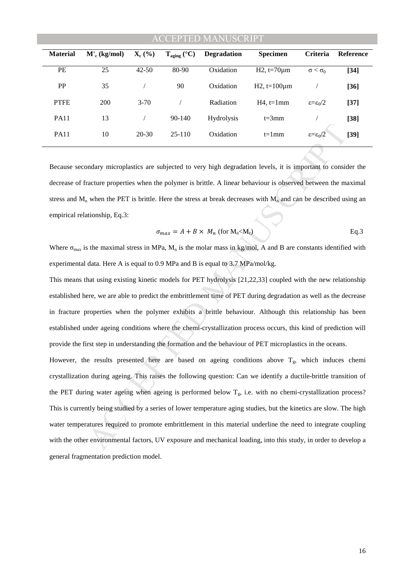# 'CEPTED MANUSCRII

| <b>Material</b> | $M'_{c}$ (kg/mol) | $\mathbf{X}_{c}$ (%) | $T_{\text{aging}}$ (°C) | <b>Degradation</b> | <b>Specimen</b>      | <b>Criteria</b>                 | <b>Reference</b> |
|-----------------|-------------------|----------------------|-------------------------|--------------------|----------------------|---------------------------------|------------------|
| PE              | 25                | $42 - 50$            | 80-90                   | Oxidation          | $H2, t=70 \mu m$     | $\alpha < \alpha^0$             | $[34]$           |
| <b>PP</b>       | 35                |                      | 90                      | Oxidation          | $H2$ , t=100 $\mu$ m |                                 | $[36]$           |
| <b>PTFE</b>     | 200               | $3 - 70$             |                         | Radiation          | $H4$ , t=1mm         | $\epsilon = \epsilon_0/2$       | $[37]$           |
| <b>PA11</b>     | 13                |                      | 90-140                  | <b>Hydrolysis</b>  | $t=3$ mm             |                                 | $[38]$           |
| <b>PA11</b>     | 10                | $20 - 30$            | $25-110$                | Oxidation          | $t=1$ mm             | $\varepsilon = \varepsilon_0/2$ | $[39]$           |
|                 |                   |                      |                         |                    |                      | <b>STATES OF STREET</b>         |                  |

Because secondary microplastics are subjected to very high degradation levels, it is important to consider the decrease of fracture properties when the polymer is brittle. A linear behaviour is observed between the maximal stress and  $M_n$  when the PET is brittle. Here the stress at break decreases with  $M_n$  and can be described using an empirical relationship, Eq.3:

$$
\sigma_{max} = A + B \times M_n \text{ (for } M_n < M_c)
$$
 Eq.3

Where  $\sigma_{\text{max}}$  is the maximal stress in MPa,  $M_n$  is the molar mass in kg/mol, A and B are constants identified with experimental data. Here A is equal to 0.9 MPa and B is equal to 3.7 MPa/mol/kg.

This means that using existing kinetic models for PET hydrolysis [21,22,33] coupled with the new relationship established here, we are able to predict the embrittlement time of PET during degradation as well as the decrease in fracture properties when the polymer exhibits a brittle behaviour. Although this relationship has been established under ageing conditions where the chemi-crystallization process occurs, this kind of prediction will provide the first step in understanding the formation and the behaviour of PET microplastics in the oceans.

10 20.30 25-110 Oxidation t=1mm  $\varepsilon = c_0/2$ <br>
budary microplastics are subjected to very high degradation levels, it is important to consident<br>
exercute properties when the polymer is brittle. A linear behaviour is observe However, the results presented here are based on ageing conditions above  $T_g$ , which induces chemi crystallization during ageing. This raises the following question: Can we identify a ductile-brittle transition of the PET during water ageing when ageing is performed below  $T_g$ , i.e. with no chemi-crystallization process? This is currently being studied by a series of lower temperature aging studies, but the kinetics are slow. The high water temperatures required to promote embrittlement in this material underline the need to integrate coupling with the other environmental factors, UV exposure and mechanical loading, into this study, in order to develop a general fragmentation prediction model.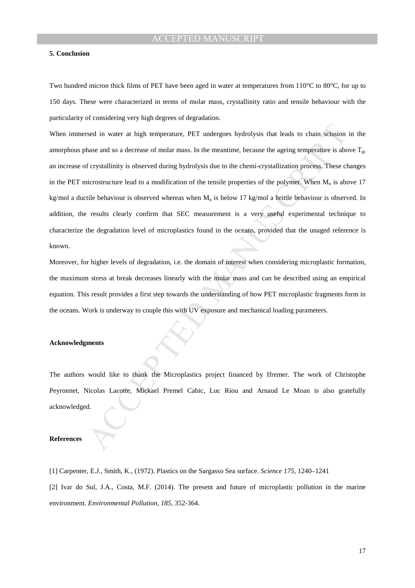### **5. Conclusion**

Two hundred micron thick films of PET have been aged in water at temperatures from 110<sup>o</sup>C to 80<sup>o</sup>C, for up to 150 days. These were characterized in terms of molar mass, crystallinity ratio and tensile behaviour with the particularity of considering very high degrees of degradation.

Sed in water at high temperature, PET undergoes hydrolysis that leads to chain schesion<br>thase and so a decrease of molar mass. In the meantime, because the ageing temperature is abe<br>f crystallinity is observed during hydro When immersed in water at high temperature, PET undergoes hydrolysis that leads to chain scission in the amorphous phase and so a decrease of molar mass. In the meantime, because the ageing temperature is above  $T_g$ , an increase of crystallinity is observed during hydrolysis due to the chemi-crystallization process. These changes in the PET microstructure lead to a modification of the tensile properties of the polymer. When  $M_n$  is above 17 kg/mol a ductile behaviour is observed whereas when  $M_n$  is below 17 kg/mol a brittle behaviour is observed. In addition, the results clearly confirm that SEC measurement is a very useful experimental technique to characterize the degradation level of microplastics found in the oceans, provided that the unaged reference is known.

Moreover, for higher levels of degradation, i.e. the domain of interest when considering microplastic formation, the maximum stress at break decreases linearly with the molar mass and can be described using an empirical equation. This result provides a first step towards the understanding of how PET microplastic fragments form in the oceans. Work is underway to couple this with UV exposure and mechanical loading parameters.

### **Acknowledgments**

The authors would like to thank the Microplastics project financed by Ifremer. The work of Christophe Peyronnet, Nicolas Lacotte, Mickael Premel Cabic, Luc Riou and Arnaud Le Moan is also gratefully acknowledged.

### **References**

[1] Carpenter, E.J., Smith, K., (1972). Plastics on the Sargasso Sea surface. *Science 175*, 1240–1241

[2] Ivar do Sul, J.A., Costa, M.F. (2014). The present and future of microplastic pollution in the marine environment. *Environmental Pollution, 185*, 352-364.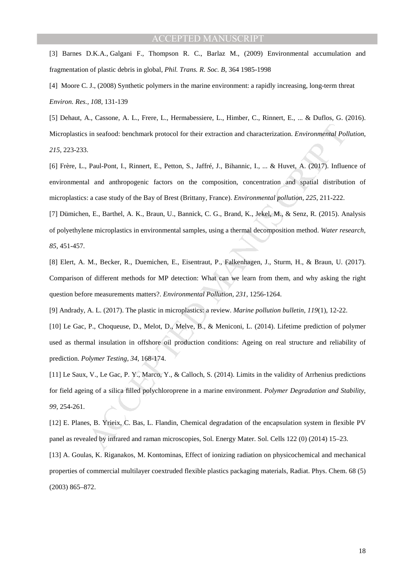[3] Barnes D.K.A., Galgani F., Thompson R. C., Barlaz M., (2009) Environmental accumulation and fragmentation of plastic debris in global*, Phil. Trans. R. Soc. B*, 364 1985-1998

[4] Moore C. J., (2008) Synthetic polymers in the marine environment: a rapidly increasing, long-term threat *Environ. Res., 108,* 131-139

[5] Dehaut, A., Cassone, A. L., Frere, L., Hermabessiere, L., Himber, C., Rinnert, E., ... & Duflos, G. (2016). Microplastics in seafood: benchmark protocol for their extraction and characterization. *Environmental Pollution*, *215*, 223-233.

is in seafood: benchmark protocol for their extraction and characterization. *Environmental Pol*.<br>
2. Paul-Pont, L., Rinnert, E., Petton, S., Jaffré, J., Bihannic, L., ... & Huvet, A. (2017). Influe<br>
1. Paul-Pont, L., Rinn [6] Frère, L., Paul-Pont, I., Rinnert, E., Petton, S., Jaffré, J., Bihannic, I., ... & Huvet, A. (2017). Influence of environmental and anthropogenic factors on the composition, concentration and spatial distribution of microplastics: a case study of the Bay of Brest (Brittany, France). *Environmental pollution*, *225*, 211-222.

[7] Dümichen, E., Barthel, A. K., Braun, U., Bannick, C. G., Brand, K., Jekel, M., & Senz, R. (2015). Analysis of polyethylene microplastics in environmental samples, using a thermal decomposition method. *Water research*, *85*, 451-457.

[8] Elert, A. M., Becker, R., Duemichen, E., Eisentraut, P., Falkenhagen, J., Sturm, H., & Braun, U. (2017). Comparison of different methods for MP detection: What can we learn from them, and why asking the right question before measurements matters?. *Environmental Pollution*, *231*, 1256-1264.

[9] Andrady, A. L. (2017). The plastic in microplastics: a review. *Marine pollution bulletin*, *119*(1), 12-22.

[10] Le Gac, P., Choqueuse, D., Melot, D., Melve, B., & Meniconi, L. (2014). Lifetime prediction of polymer used as thermal insulation in offshore oil production conditions: Ageing on real structure and reliability of prediction. *Polymer Testing*, *34*, 168-174.

[11] Le Saux, V., Le Gac, P. Y., Marco, Y., & Calloch, S. (2014). Limits in the validity of Arrhenius predictions for field ageing of a silica filled polychloroprene in a marine environment. *Polymer Degradation and Stability*, *99*, 254-261.

[12] E. Planes, B. Yrieix, C. Bas, L. Flandin, Chemical degradation of the encapsulation system in flexible PV panel as revealed by infrared and raman microscopies, Sol. Energy Mater. Sol. Cells 122 (0) (2014) 15–23. [13] A. Goulas, K. Riganakos, M. Kontominas, Effect of ionizing radiation on physicochemical and mechanical properties of commercial multilayer coextruded flexible plastics packaging materials, Radiat. Phys. Chem. 68 (5) (2003) 865–872.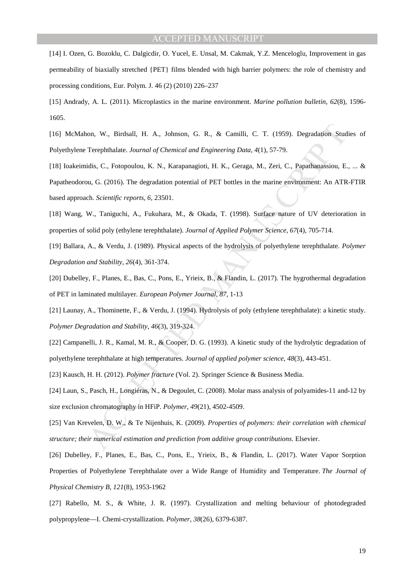[14] I. Ozen, G. Bozoklu, C. Dalgicdir, O. Yucel, E. Unsal, M. Cakmak, Y.Z. Menceloglu, Improvement in gas permeability of biaxially stretched {PET} films blended with high barrier polymers: the role of chemistry and processing conditions, Eur. Polym. J. 46 (2) (2010) 226–237

[15] Andrady, A. L. (2011). Microplastics in the marine environment. *Marine pollution bulletin*, *62*(8), 1596- 1605.

[16] McMahon, W., Birdsall, H. A., Johnson, G. R., & Camilli, C. T. (1959). Degradation Studies of Polyethylene Terephthalate. *Journal of Chemical and Engineering Data*, *4*(1), 57-79.

on, W., Birdsall, H. A., Johnson, G. R., & Camilli, C. T. (1959). Degradation Sud<br>Terephthalate. *Iournal of Chemical and Engineering Data*, 4(1), 57-79.<br>
dids, C., Fotopotolou, K. N., Karapanagioti, H. K., Geraga, M., Zer [18] Ioakeimidis, C., Fotopoulou, K. N., Karapanagioti, H. K., Geraga, M., Zeri, C., Papathanassiou, E., ... & Papatheodorou, G. (2016). The degradation potential of PET bottles in the marine environment: An ATR-FTIR based approach. *Scientific reports*, *6*, 23501.

[18] Wang, W., Taniguchi, A., Fukuhara, M., & Okada, T. (1998). Surface nature of UV deterioration in properties of solid poly (ethylene terephthalate). *Journal of Applied Polymer Science*, *67*(4), 705-714.

[19] Ballara, A., & Verdu, J. (1989). Physical aspects of the hydrolysis of polyethylene terephthalate. *Polymer Degradation and Stability*, *26*(4), 361-374.

[20] Dubelley, F., Planes, E., Bas, C., Pons, E., Yrieix, B., & Flandin, L. (2017). The hygrothermal degradation of PET in laminated multilayer. *European Polymer Journal*, *87*, 1-13

[21] Launay, A., Thominette, F., & Verdu, J. (1994). Hydrolysis of poly (ethylene terephthalate): a kinetic study. *Polymer Degradation and Stability*, *46*(3), 319-324.

[22] Campanelli, J. R., Kamal, M. R., & Cooper, D. G. (1993). A kinetic study of the hydrolytic degradation of polyethylene terephthalate at high temperatures. *Journal of applied polymer science*, *48*(3), 443-451.

[23] Kausch, H. H. (2012). *Polymer fracture* (Vol. 2). Springer Science & Business Media.

[24] Laun, S., Pasch, H., Longiéras, N., & Degoulet, C. (2008). Molar mass analysis of polyamides-11 and-12 by size exclusion chromatography in HFiP. *Polymer*, *49*(21), 4502-4509.

[25] Van Krevelen, D. W., & Te Nijenhuis, K. (2009). *Properties of polymers: their correlation with chemical structure; their numerical estimation and prediction from additive group contributions*. Elsevier.

[26] Dubelley, F., Planes, E., Bas, C., Pons, E., Yrieix, B., & Flandin, L. (2017). Water Vapor Sorption Properties of Polyethylene Terephthalate over a Wide Range of Humidity and Temperature. *The Journal of Physical Chemistry B*, *121*(8), 1953-1962

[27] Rabello, M. S., & White, J. R. (1997). Crystallization and melting behaviour of photodegraded polypropylene—I. Chemi-crystallization. *Polymer*, *38*(26), 6379-6387.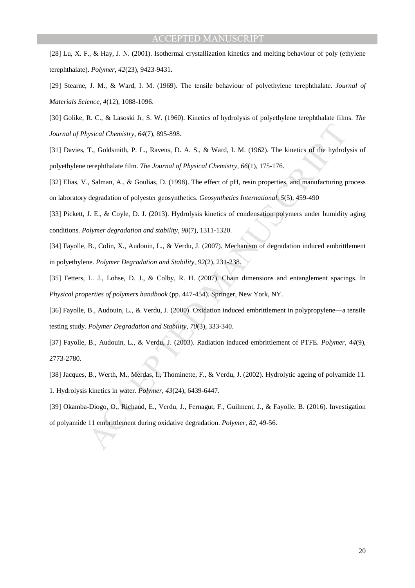[28] Lu, X. F., & Hay, J. N. (2001). Isothermal crystallization kinetics and melting behaviour of poly (ethylene terephthalate). *Polymer*, *42*(23), 9423-9431.

[29] Stearne, J. M., & Ward, I. M. (1969). The tensile behaviour of polyethylene terephthalate. *Journal of Materials Science*, *4*(12), 1088-1096.

[30] Golike, R. C., & Lasoski Jr, S. W. (1960). Kinetics of hydrolysis of polyethylene terephthalate films. *The Journal of Physical Chemistry*, *64*(7), 895-898.

[31] Davies, T., Goldsmith, P. L., Ravens, D. A. S., & Ward, I. M. (1962). The kinetics of the hydrolysis of polyethylene terephthalate film. *The Journal of Physical Chemistry*, *66*(1), 175-176.

[32] Elias, V., Salman, A., & Goulias, D. (1998). The effect of pH, resin properties, and manufacturing process on laboratory degradation of polyester geosynthetics. *Geosynthetics International*, *5*(5), 459-490

[33] Pickett, J. E., & Coyle, D. J. (2013). Hydrolysis kinetics of condensation polymers under humidity aging conditions. *Polymer degradation and stability*, *98*(7), 1311-1320.

[34] Fayolle, B., Colin, X., Audouin, L., & Verdu, J. (2007). Mechanism of degradation induced embrittlement in polyethylene. *Polymer Degradation and Stability*, *92*(2), 231-238.

[35] Fetters, L. J., Lohse, D. J., & Colby, R. H. (2007). Chain dimensions and entanglement spacings. In *Physical properties of polymers handbook* (pp. 447-454). Springer, New York, NY.

tysical Chemistry, 64(7), 895-808.<br>
T., Goldsmith, P. L., Ravens, D. A. S., & Ward, I. M. (1962). The kinetics of the hydroly<br>
terephthalate film. *The Journal of Physical Chemistry.* 66(1), 175-176.<br>
.. Salman, A., & Goul [36] Fayolle, B., Audouin, L., & Verdu, J. (2000). Oxidation induced embrittlement in polypropylene—a tensile testing study. *Polymer Degradation and Stability*, *70*(3), 333-340.

[37] Fayolle, B., Audouin, L., & Verdu, J. (2003). Radiation induced embrittlement of PTFE. *Polymer*, *44*(9), 2773-2780.

[38] Jacques, B., Werth, M., Merdas, I., Thominette, F., & Verdu, J. (2002). Hydrolytic ageing of polyamide 11.

1. Hydrolysis kinetics in water. *Polymer*, *43*(24), 6439-6447.

[39] Okamba-Diogo, O., Richaud, E., Verdu, J., Fernagut, F., Guilment, J., & Fayolle, B. (2016). Investigation of polyamide 11 embrittlement during oxidative degradation. *Polymer*, *82*, 49-56.